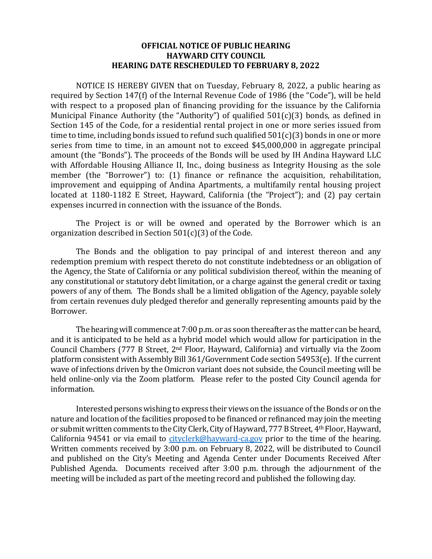## **OFFICIAL NOTICE OF PUBLIC HEARING HAYWARD CITY COUNCIL HEARING DATE RESCHEDULED TO FEBRUARY 8, 2022**

NOTICE IS HEREBY GIVEN that on Tuesday, February 8, 2022, a public hearing as required by Section 147(f) of the Internal Revenue Code of 1986 (the "Code"), will be held with respect to a proposed plan of financing providing for the issuance by the California Municipal Finance Authority (the "Authority") of qualified 501(c)(3) bonds, as defined in Section 145 of the Code, for a residential rental project in one or more series issued from time to time, including bonds issued to refund such qualified 501(c)(3) bonds in one or more series from time to time, in an amount not to exceed \$45,000,000 in aggregate principal amount (the "Bonds"). The proceeds of the Bonds will be used by IH Andina Hayward LLC with Affordable Housing Alliance II, Inc., doing business as Integrity Housing as the sole member (the "Borrower") to: (1) finance or refinance the acquisition, rehabilitation, improvement and equipping of Andina Apartments, a multifamily rental housing project located at 1180-1182 E Street, Hayward, California (the "Project"); and (2) pay certain expenses incurred in connection with the issuance of the Bonds.

The Project is or will be owned and operated by the Borrower which is an organization described in Section 501(c)(3) of the Code.

The Bonds and the obligation to pay principal of and interest thereon and any redemption premium with respect thereto do not constitute indebtedness or an obligation of the Agency, the State of California or any political subdivision thereof, within the meaning of any constitutional or statutory debt limitation, or a charge against the general credit or taxing powers of any of them. The Bonds shall be a limited obligation of the Agency, payable solely from certain revenues duly pledged therefor and generally representing amounts paid by the Borrower.

The hearing will commence at 7:00 p.m. or as soon thereafter as the matter can be heard, and it is anticipated to be held as a hybrid model which would allow for participation in the Council Chambers (777 B Street, 2nd Floor, Hayward, California) and virtually via the Zoom platform consistent with Assembly Bill 361/Government Code section 54953(e). If the current wave of infections driven by the Omicron variant does not subside, the Council meeting will be held online-only via the Zoom platform. Please refer to the posted City Council agenda for information.

Interested persons wishing to express their views on the issuance of the Bonds or on the nature and location of the facilities proposed to be financed or refinanced may join the meeting or submit written comments to the City Clerk, City of Hayward, 777 B Street, 4th Floor, Hayward, California 94541 or via email to [cityclerk@hayward-ca.gov](mailto:cityclerk@hayward-ca.gov) prior to the time of the hearing. Written comments received by 3:00 p.m. on February 8, 2022, will be distributed to Council and published on the City's Meeting and Agenda Center under Documents Received After Published Agenda. Documents received after 3:00 p.m. through the adjournment of the meeting will be included as part of the meeting record and published the following day.